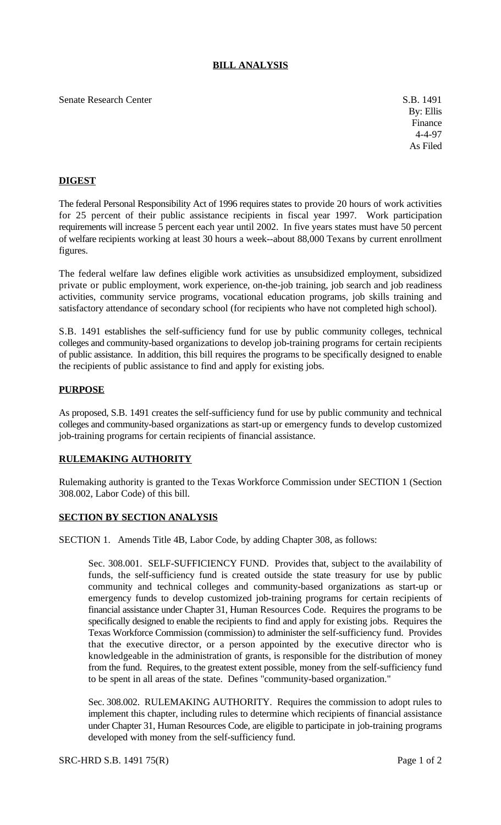# **BILL ANALYSIS**

Senate Research Center S.B. 1491

By: Ellis Finance 4-4-97 As Filed

# **DIGEST**

The federal Personal Responsibility Act of 1996 requires states to provide 20 hours of work activities for 25 percent of their public assistance recipients in fiscal year 1997. Work participation requirements will increase 5 percent each year until 2002. In five years states must have 50 percent of welfare recipients working at least 30 hours a week--about 88,000 Texans by current enrollment figures.

The federal welfare law defines eligible work activities as unsubsidized employment, subsidized private or public employment, work experience, on-the-job training, job search and job readiness activities, community service programs, vocational education programs, job skills training and satisfactory attendance of secondary school (for recipients who have not completed high school).

S.B. 1491 establishes the self-sufficiency fund for use by public community colleges, technical colleges and community-based organizations to develop job-training programs for certain recipients of public assistance. In addition, this bill requires the programs to be specifically designed to enable the recipients of public assistance to find and apply for existing jobs.

#### **PURPOSE**

As proposed, S.B. 1491 creates the self-sufficiency fund for use by public community and technical colleges and community-based organizations as start-up or emergency funds to develop customized job-training programs for certain recipients of financial assistance.

## **RULEMAKING AUTHORITY**

Rulemaking authority is granted to the Texas Workforce Commission under SECTION 1 (Section 308.002, Labor Code) of this bill.

## **SECTION BY SECTION ANALYSIS**

SECTION 1. Amends Title 4B, Labor Code, by adding Chapter 308, as follows:

Sec. 308.001. SELF-SUFFICIENCY FUND. Provides that, subject to the availability of funds, the self-sufficiency fund is created outside the state treasury for use by public community and technical colleges and community-based organizations as start-up or emergency funds to develop customized job-training programs for certain recipients of financial assistance under Chapter 31, Human Resources Code. Requires the programs to be specifically designed to enable the recipients to find and apply for existing jobs. Requires the Texas Workforce Commission (commission) to administer the self-sufficiency fund. Provides that the executive director, or a person appointed by the executive director who is knowledgeable in the administration of grants, is responsible for the distribution of money from the fund. Requires, to the greatest extent possible, money from the self-sufficiency fund to be spent in all areas of the state. Defines "community-based organization."

Sec. 308.002. RULEMAKING AUTHORITY. Requires the commission to adopt rules to implement this chapter, including rules to determine which recipients of financial assistance under Chapter 31, Human Resources Code, are eligible to participate in job-training programs developed with money from the self-sufficiency fund.